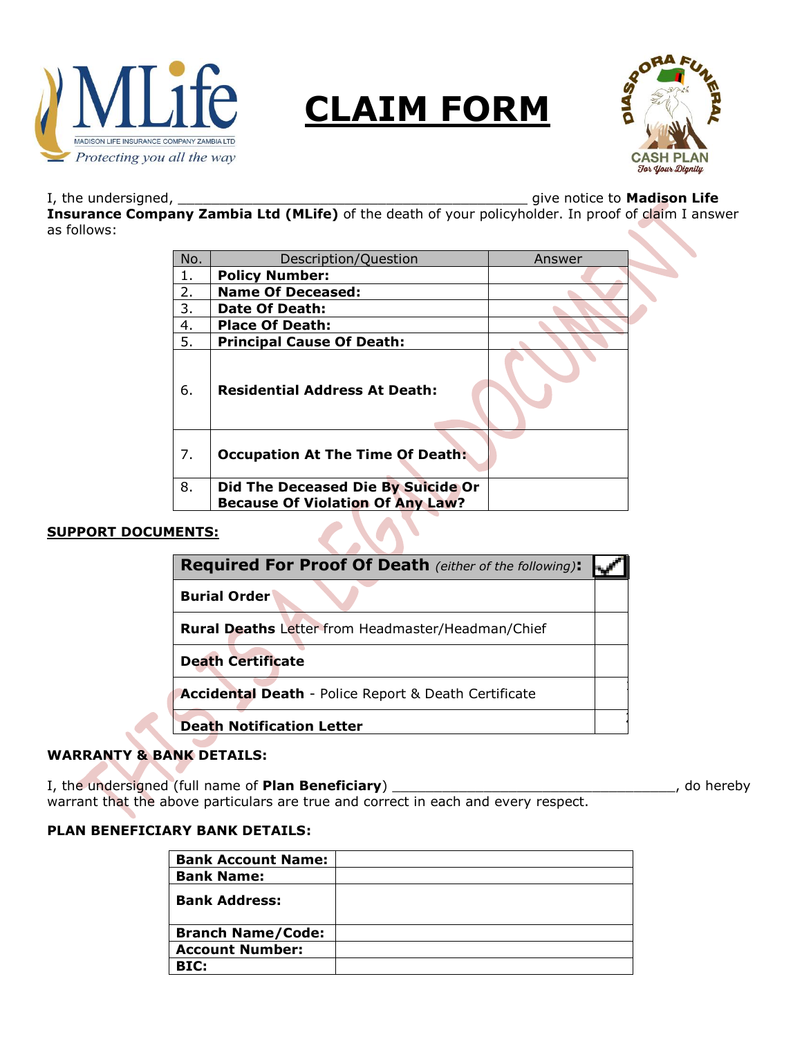

# **CLAIM FORM**



I, the undersigned, \_\_\_\_\_\_\_\_\_\_\_\_\_\_\_\_\_\_\_\_\_\_\_\_\_\_\_\_\_\_\_\_\_\_\_\_\_\_\_\_\_\_ give notice to **Madison Life** 

**Insurance Company Zambia Ltd (MLife)** of the death of your policyholder. In proof of claim I answer as follows:

| No. | Description/Question                    | Answer |
|-----|-----------------------------------------|--------|
| 1.  | <b>Policy Number:</b>                   |        |
| 2.  | <b>Name Of Deceased:</b>                |        |
| 3.  | Date Of Death:                          |        |
| 4.  | <b>Place Of Death:</b>                  |        |
| 5.  | <b>Principal Cause Of Death:</b>        |        |
| 6.  | <b>Residential Address At Death:</b>    |        |
| 7.  | <b>Occupation At The Time Of Death:</b> |        |
| 8.  | Did The Deceased Die By Suicide Or      |        |
|     | <b>Because Of Violation Of Any Law?</b> |        |

## **SUPPORT DOCUMENTS:**

| <b>Required For Proof Of Death</b> (either of the following): |  |
|---------------------------------------------------------------|--|
| <b>Burial Order</b>                                           |  |
| <b>Rural Deaths</b> Letter from Headmaster/Headman/Chief      |  |
| <b>Death Certificate</b>                                      |  |
| Accidental Death - Police Report & Death Certificate          |  |
| <b>Death Notification Letter</b>                              |  |

# **WARRANTY & BANK DETAILS:**

I, the undersigned (full name of **Plan Beneficiary**) \_\_\_\_\_\_\_\_\_\_\_\_\_\_\_\_\_\_\_\_\_\_\_\_\_\_\_\_\_\_\_\_\_\_, do hereby warrant that the above particulars are true and correct in each and every respect.

## **PLAN BENEFICIARY BANK DETAILS:**

| <b>Bank Account Name:</b> |  |
|---------------------------|--|
| <b>Bank Name:</b>         |  |
| <b>Bank Address:</b>      |  |
| <b>Branch Name/Code:</b>  |  |
| <b>Account Number:</b>    |  |
| BIC:                      |  |